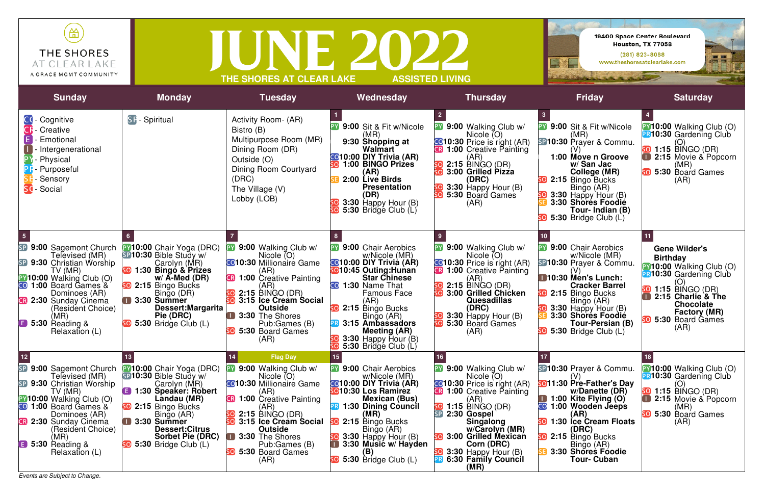*Events are Subject to Change.*

| 笽<br>THE SHORES<br>AT CLEAR LAKE<br>A GRACE MGMT COMMUNITY |                       | THE SHORES AT CLEAR LAKE          |                                       | <b>ASSISTED LIVING</b>               | $\rightarrow$                                 | 19400 Space Center Boulevard<br>Houston, TX 77058<br>$(281)$ 823-8088<br>www.theshoresatclearlake.com |
|------------------------------------------------------------|-----------------------|-----------------------------------|---------------------------------------|--------------------------------------|-----------------------------------------------|-------------------------------------------------------------------------------------------------------|
| <b>Sunday</b>                                              | <b>Monday</b>         | <b>Tuesday</b>                    | Wednesday                             | <b>Thursday</b>                      | <b>Friday</b>                                 | <b>Saturday</b>                                                                                       |
| CC - Cognitive<br><b>CF</b> - Creative                     | <b>SF</b> - Spiritual | Activity Room- (AR)<br>Bistro (B) | 9:00 Sit & Fit w/Nicole<br>PY<br>(MR) | 9:00 Walking Club w/<br>Nicole $(O)$ | <b>PY 9:00 Sit &amp; Fit w/Nicole</b><br>(MR) | PY10:00 Walking Clu<br><b>PR10:30 Gardening</b>                                                       |

| vivuuv v<br>Emotional<br>- Intergenerational<br>- Physical<br>- Purposeful<br>Sensory<br>Social                                                                                                                                                                         |                                                                                                                                                                                                                                                               | ושן טווט<br>Multipurpose Room (MR)<br>Dining Room (DR)<br>Outside (O)<br>Dining Room Courtyard<br>(DRC)<br>The Village (V)<br>Lobby (LOB)                                                                                                                                                                   | (MR)<br>9:30 Shopping at<br>Walmart<br><b>@10:00 DIY Trivia (AR)</b><br>1:00 BINGO Prizes<br>SO<br>(AR)<br>2:00 Live Birds<br><b>Presentation</b><br>(DR)<br>3:30 Happy Hour (B)<br>5:30 Bridge Club (L)                                                                                                                    | Nicole (O)<br><b>C010:30</b> Price is right (AR)<br><b>R 1:00</b> Creative Painting<br>(AR)<br>$2:15$ BINGO (DR)<br>SO)<br>3:00 Grilled Pizza<br>(DRC)<br>3:30 Happy Hour (B)<br>SO]<br>5:30 Board Games<br>(AR)                                                                                                                 | (MR)<br>SP10:30 Prayer & Commu.<br>1:00 Móve n Groove<br>w/San Jac<br>College (MR)<br>2:15 Bingo Bucks<br>Bingo (AR)<br>3:30 Happy Hour (B)<br>3:30 Shores Foodie<br>Tour- Indian (B)<br>5:30 Bridge Club (L)                                                  | PRJ<br>$\blacksquare$<br><b>SO</b> |
|-------------------------------------------------------------------------------------------------------------------------------------------------------------------------------------------------------------------------------------------------------------------------|---------------------------------------------------------------------------------------------------------------------------------------------------------------------------------------------------------------------------------------------------------------|-------------------------------------------------------------------------------------------------------------------------------------------------------------------------------------------------------------------------------------------------------------------------------------------------------------|-----------------------------------------------------------------------------------------------------------------------------------------------------------------------------------------------------------------------------------------------------------------------------------------------------------------------------|----------------------------------------------------------------------------------------------------------------------------------------------------------------------------------------------------------------------------------------------------------------------------------------------------------------------------------|----------------------------------------------------------------------------------------------------------------------------------------------------------------------------------------------------------------------------------------------------------------|------------------------------------|
| SP 9:00 Sagemont Church<br>Televised (MR)<br>SP 9:30 Christian Worship<br>TV (MR)<br>PY10:00 Walking Club (O)<br>CO 1:00 Board Games &<br>Dominoes (AR)<br><b>B</b> 2:30 Sunday Cinema<br>(Resident Choice)<br>(MR)<br><b>B</b> 5:30 Reading &<br>Relaxation (L)        | <b>PY10:00</b> Chair Yoga (DRC)<br>SP10:30 Bible Study w/<br>Carolyn (MR)<br>1:30 Bingo & Prizes<br>$w/$ A-Med (DR)<br>2:15 Bingo Bucks<br>Bingo (DR)<br>3:30 Summer<br>Dessert: Margarita<br>Pie (DRC)<br>5:30 Bridge Club (L)                               | <b>PY 9:00 Walking Club w/</b><br>Nicole $(O)$<br><b>C</b> 10:30 Millionaire Game<br>(AR)<br><b>B</b> 1:00 Creative Painting<br>(AR)<br>$SO$ 2:15 BINGO (DR)<br><b>so</b> 3:15 Ice Cream Social<br><b>Outside</b><br>3:30 The Shores<br>Pub:Games (B)<br>5:30 Board Games<br>(AR)                           | <b>PY 9:00 Chair Aerobics</b><br>w/Nicole (MR)<br><b>@10:00 DIY Trivia (AR)</b><br><b>so</b> 10:45 Outing:Hunan<br><b>Star Chinese</b><br>1:30 Name That<br>CO)<br><b>Famous Face</b><br>(AR)<br>2:15 Bingo Bucks<br>Bingo (AR)<br>3:15 Ambassadors<br><b>Meeting (AR)</b><br>$3:30$ Happy Hour (B)<br>5:30 Bridge Club (L) | 9:00 Walking Club w/<br>Nicole $(O)$<br><b>C</b> 10:30 Price is right (AR)<br>1:00 Creative Painting<br>(AR)<br>$2:15$ BINGO (DR)<br>5O)<br>5O)<br>3:00 Grilled Chicken<br><b>Quesadillas</b><br>(DRC)<br>3:30 Happy Hour (B)<br>$\mathbf{[O]}$<br>$\overline{O}$<br>5:30 Board Games<br>(AR)                                    | <b>PY 9:00 Chair Aerobics</b><br>w/Nicole (MR)<br><b>SP10:30 Prayer &amp; Commu.</b><br>10:30 Men's Lunch:<br><b>Cracker Barrel</b><br>2:15 Bingo Bucks<br>Bingo (AR)<br>3:30 Happy Hour (B)<br>3:30 Shores Foodie<br>Tour-Persian (B)<br>5:30 Bridge Club (L) | PY)<br>PR)<br>SO<br><b>SO</b>      |
| SP 9:00 Sagemont Church<br>Televised (MR)<br>SP 9:30 Christian Worship<br>TV (MR)<br><b>PY10:00 Walking Club (O)</b><br>CO 1:00 Board Games &<br>Dominoes (AR)<br><b>B</b> 2:30 Sunday Cinema<br>(Resident Choice)<br>(MR)<br><b>B</b> 5:30 Reading &<br>Relaxation (L) | <b>PY10:00</b> Chair Yoga (DRC)<br>SP10:30 Bible Study w/<br>Carolyn (MR)<br><b>B</b> 1:30 Speaker: Robert<br>Landau (MR)<br>2:15 Bingo Bucks<br>Bingo (AR)<br>$\Box$ 3:30 Summer<br><b>Dessert:Citrus</b><br><b>Sorbet Pie (DRC)</b><br>5:30 Bridge Club (L) | <b>Flag Day</b><br>14.<br><b>PY 9:00 Walking Club w/</b><br>Nicole (O)<br><b>C010:30 Millionaire Game</b><br>(AR)<br><b>R</b> 1:00 Creative Painting<br>(AR)<br>30 2:15 BINGO (DR <u>)</u><br>so 3:15 Ice Cream Social<br>Outside<br>3:30 The Shores<br>Pub:Games (B)<br><b>SO</b> 5:30 Board Games<br>(AR) | 15<br><b>PY 9:00 Chair Aerobics</b><br>w/Nicole (MR)<br><b>CO10:00 DIY Trivia (AR)</b><br>so10:30 Los Ramirez<br><b>Mexican (Bus)</b><br>1:30 Dining Council<br>(MK)<br><b>SO</b> 2:15 Bingo Bucks<br>Bingo (AR)<br>3:30 Happy Hour (B)<br>3:30 Music w/ Hayden<br>(B)<br>50 5:30 Bridge Club (L)                           | 9:00 Walking Club w/<br>Nicole $(O)$<br><b>C010:30</b> Price is right (AR)<br><b>B</b> 1:00 Creative Painting<br>(AR)<br>SO)<br>1:15 BINGO (DR)<br>2:30 Gospel<br><b>Singalong</b><br>w/Carolyn (MR)<br>3:00 Grilled Mexican<br>5O)<br>Corn (DRC)<br>$\overline{\mathbf{S0}}$ 3:30 Happy Hour (B)<br>6:30 Family Council<br>(MR) | SP10:30 Prayer & Commu.<br>so11:30 Pre-Father's Day<br>w/Danette (DR)<br>1:00 Kite Flying (O)<br>CO<br>1:00 Wooden Jeeps<br>(AR)<br>1:30 Ice Cream Floats<br>SO]<br>(DRC)<br>2:15 Bingo Bucks<br>Bingo (AR)<br>3:30 Shores Foodie<br><b>Tour- Cuban</b>        | SO<br>I                            |